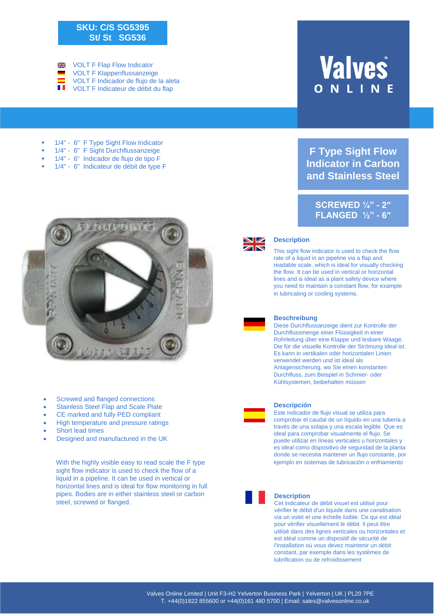## **SKU: C/S SG5395 St/ St SG536**

 $\frac{N}{N}$ VOLT F Flap Flow Indicator VOLT F Klappenflussanzeige VOLT F Indicador de flujo de la aleta  $\blacksquare$ VOLT F Indicateur de débit du flap

**Valves** ONLIN

**F Type Sight Flow Indicator in Carbon and Stainless Steel**

**SCREWED ¼" - 2" FLANGED ½" - 6"**

- § 1/4" 6" F Type Sight Flow Indicator
- § 1/4" 6" F Sight Durchflussanzeige
- § 1/4" 6" Indicador de flujo de tipo F
- § 1/4" 6" Indicateur de débit de type F



- Screwed and flanged connections
- Stainless Steel Flap and Scale Plate
- CE marked and fully PED compliant
- High temperature and pressure ratings
- Short lead times
- Designed and manufactured in the UK

With the highly visible easy to read scale the F type sight flow indicator is used to check the flow of a liquid in a pipeline. It can be used in vertical or horizontal lines and is ideal for flow monitoring in full pipes. Bodies are in either stainless steel or carbon steel, screwed or flanged.



## **Description**

This sight flow indicator is used to check the flow rate of a liquid in an pipeline via a flap and readable scale. which is ideal for visually checking the flow. It can be used in vertical or horizontal lines and is ideal as a plant safety device where you need to maintain a constant flow, for example in lubricating or cooling systems.



#### **Beschreibung**

Diese Durchflussanzeige dient zur Kontrolle der Durchflussmenge einer Flüssigkeit in einer Rohrleitung über eine Klappe und lesbare Waage. Die für die visuelle Kontrolle der Strömung ideal ist. Es kann in vertikalen oder horizontalen Linien verwendet werden und ist ideal als Anlagensicherung, wo Sie einen konstanten Durchfluss, zum Beispiel in Schmier- oder Kühlsystemen, beibehalten müssen



### **Descripción**

Este indicador de flujo visual se utiliza para comprobar el caudal de un líquido en una tubería a través de una solapa y una escala legible. Que es ideal para comprobar visualmente el flujo. Se puede utilizar en líneas verticales u horizontales y es ideal como dispositivo de seguridad de la planta donde se necesita mantener un flujo constante, por ejemplo en sistemas de lubricación o enfriamiento



#### **Description**

Cet indicateur de débit visuel est utilisé pour vérifier le débit d'un liquide dans une canalisation via un volet et une échelle lisible. Ce qui est idéal pour vérifier visuellement le débit. Il peut être utilisé dans des lignes verticales ou horizontales et est idéal comme un dispositif de sécurité de l'installation où vous devez maintenir un débit constant, par exemple dans les systèmes de lubrification ou de refroidissement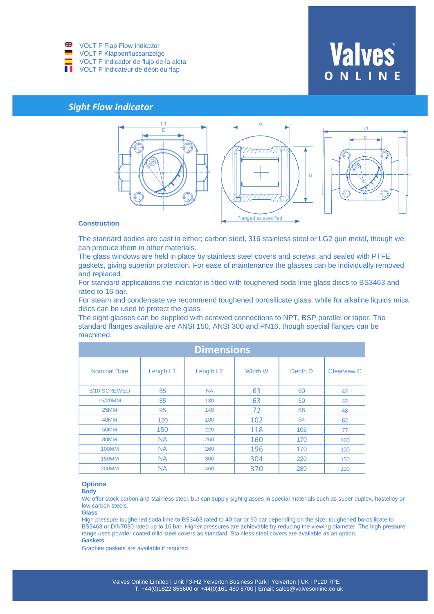

## **Valves**

## *Sight Flow Indicator*



## **Construction**

The standard bodies are cast in either; carbon steel, 316 stainless steel or LG2 gun metal, though we can produce them in other materials.

The glass windows are held in place by stainless steel covers and screws, and sealed with PTFE gaskets, giving superior protection. For ease of maintenance the glasses can be individually removed and replaced.

For standard applications the indicator is fitted with toughened soda lime glass discs to BS3463 and rated to 16 bar.

For steam and condensate we recommend toughened borosilicate glass, while for alkaline liquids mica discs can be used to protect the glass.

The sight glasses can be supplied with screwed connections to NPT, BSP parallel or taper. The standard flanges available are ANSI 150, ANSI 300 and PN16, though special flanges can be machined.

|                     |           | <b>Dimensions</b>     |         |         |                    |
|---------------------|-----------|-----------------------|---------|---------|--------------------|
| <b>Nominal Bore</b> | Length L1 | Length L <sub>2</sub> | Width W | Depth D | <b>Clearview C</b> |
| 8/10 SCREWED        | 85        | <b>NA</b>             | 63      | 60      | 42                 |
| 15/20MM             | 85        | 130                   | 63      | 60      | 42                 |
| 25MM                | 95        | 140                   | 72      | 66      | 48                 |
| 40MM                | 120       | 180                   | 102     | 84      | 62                 |
| 50MM                | 150       | 220                   | 118     | 106     | 77                 |
| 80MM                | <b>NA</b> | 260                   | 160     | 170     | 100                |
| <b>100MM</b>        | <b>NA</b> | 260                   | 196     | 170     | 100                |
| <b>150MM</b>        | <b>NA</b> | 360                   | 304     | 220     | 150                |
| <b>200MM</b>        | <b>NA</b> | 460                   | 370     | 280     | 200                |

#### **Options**

**Body**

We offer stock carbon and stainless steel, but can supply sight glasses in special materials such as super duplex, hastelloy or low carbon steels.

**Glass**

High pressure toughened soda lime to BS3463 rated to 40 bar or 60 bar depending on the size, toughened borosilicate to BS3463 or DIN7080 rated up to 16 bar. Higher pressures are achievable by reducing the viewing diameter. The high pressure range uses powder coated mild steel covers as standard. Stainless steel covers are available as an option. **Gaskets**

Graphite gaskets are available if required.